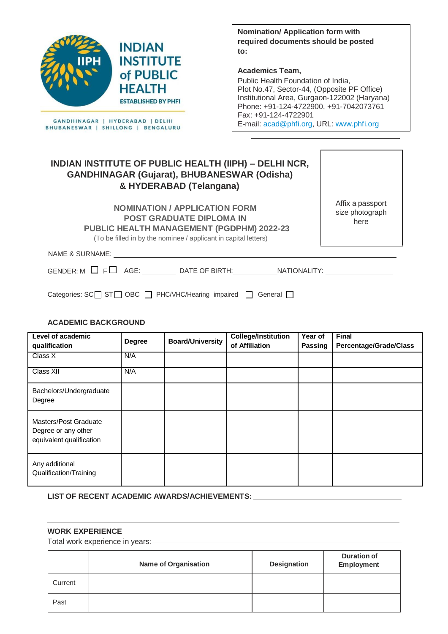

GANDHINAGAR | HYDERABAD | DELHI BHUBANESWAR | SHILLONG | BENGALURU **Nomination/ Application form with required documents should be posted to:**

#### **Academics Team,**

Public Health Foundation of India, Plot No.47, Sector-44, (Opposite PF Office) Institutional Area, Gurgaon-122002 (Haryana) Phone: +91-124-4722900, +91-7042073761 Fax: +91-124-4722901 E-mail: [acad@phfi.org,](mailto:acad@phfi.org) URL: [www.phfi.org](http://www.phfi.org/)

# **INDIAN INSTITUTE OF PUBLIC HEALTH (IIPH) – DELHI NCR, GANDHINAGAR (Gujarat), BHUBANESWAR (Odisha) & HYDERABAD (Telangana)**

**NOMINATION / APPLICATION FORM POST GRADUATE DIPLOMA IN PUBLIC HEALTH MANAGEMENT (PGDPHM) 2022-23**

(To be filled in by the nominee / applicant in capital letters)

Affix a passport size photograph here

NAME & SURNAME:

GENDER: M F AGE: DATE OF BIRTH: NATIONALITY:

Categories:  $SC \rightharpoonup ST \rightharpoonup OBC \rightharpoonup PHC/VHC/Hearing impaired \rightharpoonup General \rightharpoonup$ 

### **ACADEMIC BACKGROUND**

| Level of academic<br>qualification                                       | <b>Degree</b> | <b>Board/University</b> | <b>College/Institution</b><br>of Affiliation | Year of<br><b>Passing</b> | <b>Final</b><br><b>Percentage/Grade/Class</b> |
|--------------------------------------------------------------------------|---------------|-------------------------|----------------------------------------------|---------------------------|-----------------------------------------------|
| Class X                                                                  | N/A           |                         |                                              |                           |                                               |
| Class XII                                                                | N/A           |                         |                                              |                           |                                               |
| Bachelors/Undergraduate<br>Degree                                        |               |                         |                                              |                           |                                               |
| Masters/Post Graduate<br>Degree or any other<br>equivalent qualification |               |                         |                                              |                           |                                               |
| Any additional<br>Qualification/Training                                 |               |                         |                                              |                           |                                               |

### **LIST OF RECENT ACADEMIC AWARDS/ACHIEVEMENTS:**

### **WORK EXPERIENCE**

Total work experience in years:

|         | <b>Name of Organisation</b> | Designation | <b>Duration of</b><br>Employment |
|---------|-----------------------------|-------------|----------------------------------|
| Current |                             |             |                                  |
| Past    |                             |             |                                  |